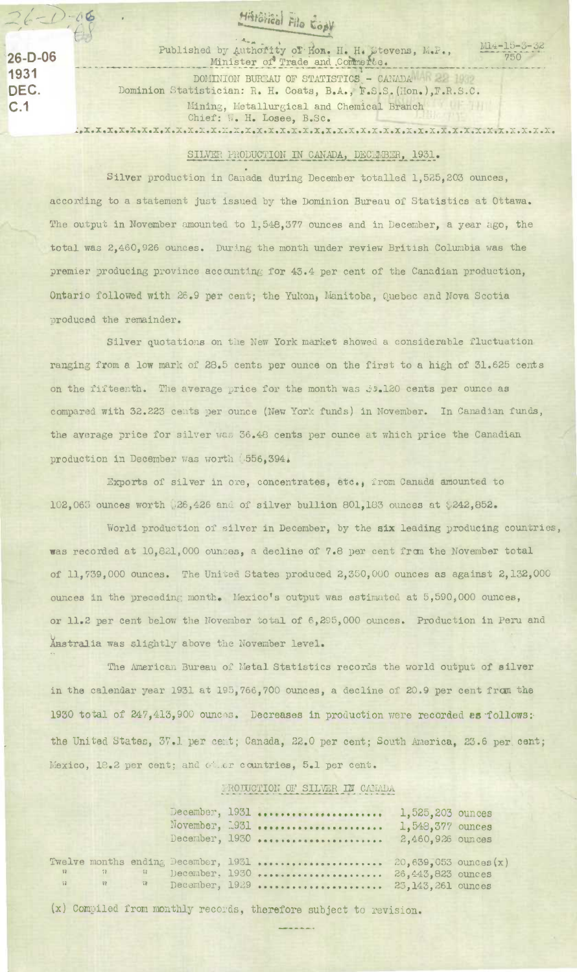Histôlical File Copy

**1931** 

F

 $2 - (1 - 0)6$ 

Published by Authority of Hon. H. H. Stevens, M.P., 26-D-06 **Minister of Trade and Commerte**.

750

DOMINION BUREAU OF STATISTICS - CANADA HARRY 19 DEC. Dominion Statistician: R. H. Coats, B.A., F.S.S.(Hon.), F.R.S.C. C.1 Mining, Metallurgical and Chemical Branch ur m Chief: W. H. Losee, B.Sc. • **x** • **x** • **x** • **x.x** • **x** • **x** • x.x . • x • • • X • X • X • X • X • X • **X** • X • X • X • X • X • X • X • X • X • X • X • X • X • X • X • Xe X • X • X • 1.

## SILVER PRODUCTION IN CANADA, DECEMBER, 1931.

Silver production in Canada during December totalled 1,525,203 ounces, according to a statement just issued by the Dominion Bureau of Statistics at Ottawa. The output in November amounted to 1,548,377 ounces and in December, a year ago, the total was 2,460,926 ounces. During the month under review British Columbia was the premier producing province accounting for 43.4 per cent of the Canadian production, Ontario followed with 26.9 per cent; the Yukon, Manitoba, Quebec and Nova Scotia produced the remainder.

Silver quotations on the New York market showed a considerable fluctuation ranging from a low mark of 28.5 cents per ounce on the first to a high of 31.625 cents on the fifteenth. The average price for the month was .120 cents per ounce as compared with 32.223 cents per ounce (New York funds) in November. In Canadian funds, the average price for silver was 36.48 cents per ounce at which price the Canadian production in December was worth .556,394.

Exports of silver in ore, concentrates, etc., from Canada amounted to 102,063 ounces worth 26,426 and of silver bullion 801,183 ounces at \$242,852.

World production of silver in December, by the **six** leading producing countries, was recorded at 10,821,000 ounces, a decline of 7.8 per cent rraa the November total of 11,739,000 ounces. The United States produced 2,350,000 ounces as against 2,132,000 ounces in the preceding month. Mexico's output was estimated at 5,590,000 ounces, or 11.2 per cent below the November total of 6,295,000 ounces. Production in Peru and Anstralia was slightly above the November level.

The American Bureau of Metal Statistics records the world output of silver in the calendar year 1931 at 195,766,700 ounces, a decline of 20.9 per cent fran the 1930 total of 247,413,900 ounces. Decreases in production were recorded as follows: the United States, 37.1 per cent; Canada, 22.0 per cent; South America, 23.6 per cent; Mexico, 18.2 per cent; and other countries, 5.1 per cent.

## IRODUCTION OF SILVER IN CANADA

|  |  | December, 1931<br>November, 1931<br>December, 1930                                                                                                 | 1,525,203 ounces<br>1,548,377 ounces<br>2,460,926 ounces |  |
|--|--|----------------------------------------------------------------------------------------------------------------------------------------------------|----------------------------------------------------------|--|
|  |  | Twelve months ending December, 1931  20,639,053 ounces $(x)$<br>$n$ a Becember, 1930  26,443,823 ounces<br>n n R December, 1929  25,143,261 ounces |                                                          |  |

(x) Compiled from monthly records, therefore subject to revision.